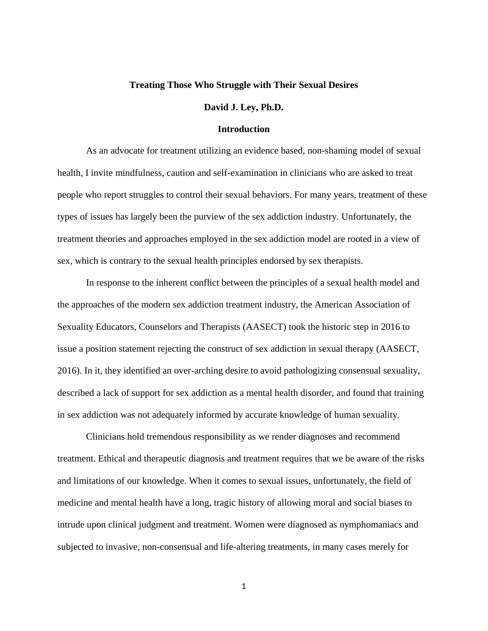#### **Treating Those Who Struggle with Their Sexual Desires**

#### **David J. Ley, Ph.D.**

# **Introduction**

As an advocate for treatment utilizing an evidence based, non-shaming model of sexual health, I invite mindfulness, caution and self-examination in clinicians who are asked to treat people who report struggles to control their sexual behaviors. For many years, treatment of these types of issues has largely been the purview of the sex addiction industry. Unfortunately, the treatment theories and approaches employed in the sex addiction model are rooted in a view of sex, which is contrary to the sexual health principles endorsed by sex therapists.

In response to the inherent conflict between the principles of a sexual health model and the approaches of the modern sex addiction treatment industry, the American Association of Sexuality Educators, Counselors and Therapists (AASECT) took the historic step in 2016 to issue a position statement rejecting the construct of sex addiction in sexual therapy (AASECT, 2016). In it, they identified an over-arching desire to avoid pathologizing consensual sexuality, described a lack of support for sex addiction as a mental health disorder, and found that training in sex addiction was not adequately informed by accurate knowledge of human sexuality.

Clinicians hold tremendous responsibility as we render diagnoses and recommend treatment. Ethical and therapeutic diagnosis and treatment requires that we be aware of the risks and limitations of our knowledge. When it comes to sexual issues, unfortunately, the field of medicine and mental health have a long, tragic history of allowing moral and social biases to intrude upon clinical judgment and treatment. Women were diagnosed as nymphomaniacs and subjected to invasive, non-consensual and life-altering treatments, in many cases merely for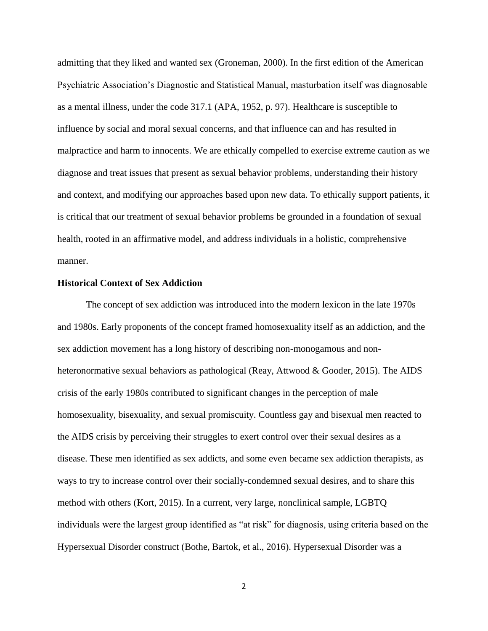admitting that they liked and wanted sex (Groneman, 2000). In the first edition of the American Psychiatric Association's Diagnostic and Statistical Manual, masturbation itself was diagnosable as a mental illness, under the code 317.1 (APA, 1952, p. 97). Healthcare is susceptible to influence by social and moral sexual concerns, and that influence can and has resulted in malpractice and harm to innocents. We are ethically compelled to exercise extreme caution as we diagnose and treat issues that present as sexual behavior problems, understanding their history and context, and modifying our approaches based upon new data. To ethically support patients, it is critical that our treatment of sexual behavior problems be grounded in a foundation of sexual health, rooted in an affirmative model, and address individuals in a holistic, comprehensive manner.

# **Historical Context of Sex Addiction**

The concept of sex addiction was introduced into the modern lexicon in the late 1970s and 1980s. Early proponents of the concept framed homosexuality itself as an addiction, and the sex addiction movement has a long history of describing non-monogamous and nonheteronormative sexual behaviors as pathological (Reay, Attwood & Gooder, 2015). The AIDS crisis of the early 1980s contributed to significant changes in the perception of male homosexuality, bisexuality, and sexual promiscuity. Countless gay and bisexual men reacted to the AIDS crisis by perceiving their struggles to exert control over their sexual desires as a disease. These men identified as sex addicts, and some even became sex addiction therapists, as ways to try to increase control over their socially-condemned sexual desires, and to share this method with others (Kort, 2015). In a current, very large, nonclinical sample, LGBTQ individuals were the largest group identified as "at risk" for diagnosis, using criteria based on the Hypersexual Disorder construct (Bothe, Bartok, et al., 2016). Hypersexual Disorder was a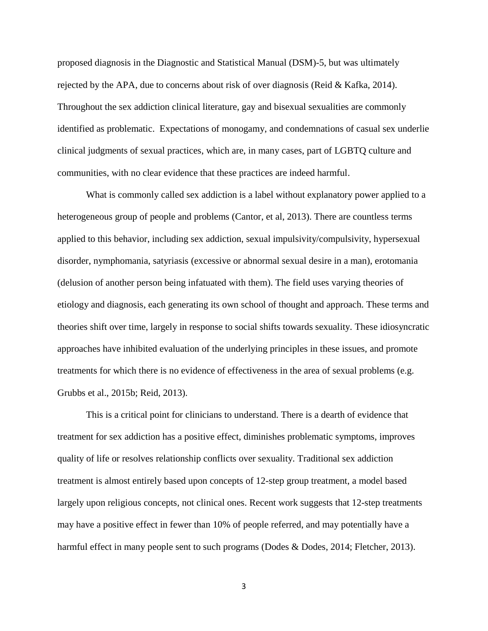proposed diagnosis in the Diagnostic and Statistical Manual (DSM)-5, but was ultimately rejected by the APA, due to concerns about risk of over diagnosis (Reid & Kafka, 2014). Throughout the sex addiction clinical literature, gay and bisexual sexualities are commonly identified as problematic. Expectations of monogamy, and condemnations of casual sex underlie clinical judgments of sexual practices, which are, in many cases, part of LGBTQ culture and communities, with no clear evidence that these practices are indeed harmful.

What is commonly called sex addiction is a label without explanatory power applied to a heterogeneous group of people and problems (Cantor, et al, 2013). There are countless terms applied to this behavior, including sex addiction, sexual impulsivity/compulsivity, hypersexual disorder, nymphomania, satyriasis (excessive or abnormal sexual desire in a man), erotomania (delusion of another person being infatuated with them). The field uses varying theories of etiology and diagnosis, each generating its own school of thought and approach. These terms and theories shift over time, largely in response to social shifts towards sexuality. These idiosyncratic approaches have inhibited evaluation of the underlying principles in these issues, and promote treatments for which there is no evidence of effectiveness in the area of sexual problems (e.g. Grubbs et al., 2015b; Reid, 2013).

This is a critical point for clinicians to understand. There is a dearth of evidence that treatment for sex addiction has a positive effect, diminishes problematic symptoms, improves quality of life or resolves relationship conflicts over sexuality. Traditional sex addiction treatment is almost entirely based upon concepts of 12-step group treatment, a model based largely upon religious concepts, not clinical ones. Recent work suggests that 12-step treatments may have a positive effect in fewer than 10% of people referred, and may potentially have a harmful effect in many people sent to such programs (Dodes & Dodes, 2014; Fletcher, 2013).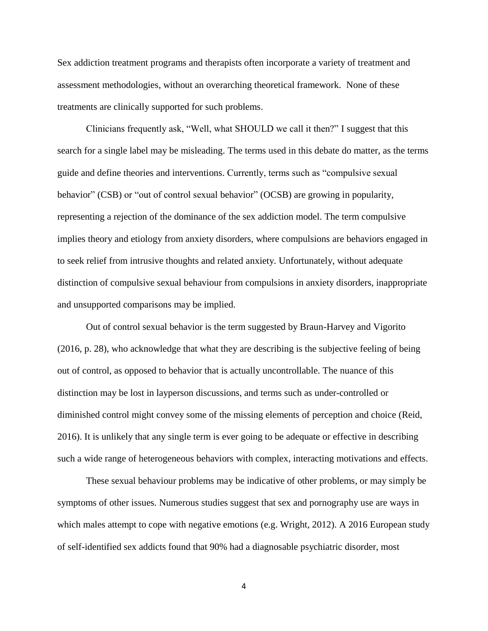Sex addiction treatment programs and therapists often incorporate a variety of treatment and assessment methodologies, without an overarching theoretical framework. None of these treatments are clinically supported for such problems.

Clinicians frequently ask, "Well, what SHOULD we call it then?" I suggest that this search for a single label may be misleading. The terms used in this debate do matter, as the terms guide and define theories and interventions. Currently, terms such as "compulsive sexual behavior" (CSB) or "out of control sexual behavior" (OCSB) are growing in popularity, representing a rejection of the dominance of the sex addiction model. The term compulsive implies theory and etiology from anxiety disorders, where compulsions are behaviors engaged in to seek relief from intrusive thoughts and related anxiety. Unfortunately, without adequate distinction of compulsive sexual behaviour from compulsions in anxiety disorders, inappropriate and unsupported comparisons may be implied.

Out of control sexual behavior is the term suggested by Braun-Harvey and Vigorito (2016, p. 28), who acknowledge that what they are describing is the subjective feeling of being out of control, as opposed to behavior that is actually uncontrollable. The nuance of this distinction may be lost in layperson discussions, and terms such as under-controlled or diminished control might convey some of the missing elements of perception and choice (Reid, 2016). It is unlikely that any single term is ever going to be adequate or effective in describing such a wide range of heterogeneous behaviors with complex, interacting motivations and effects.

These sexual behaviour problems may be indicative of other problems, or may simply be symptoms of other issues. Numerous studies suggest that sex and pornography use are ways in which males attempt to cope with negative emotions (e.g. Wright, 2012). A 2016 European study of self-identified sex addicts found that 90% had a diagnosable psychiatric disorder, most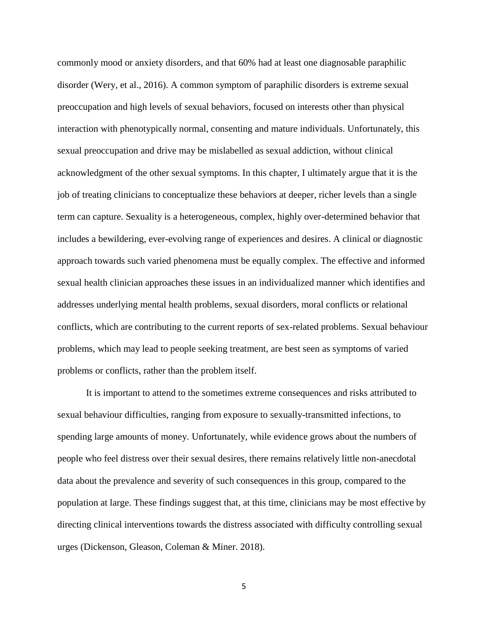commonly mood or anxiety disorders, and that 60% had at least one diagnosable paraphilic disorder (Wery, et al., 2016). A common symptom of paraphilic disorders is extreme sexual preoccupation and high levels of sexual behaviors, focused on interests other than physical interaction with phenotypically normal, consenting and mature individuals. Unfortunately, this sexual preoccupation and drive may be mislabelled as sexual addiction, without clinical acknowledgment of the other sexual symptoms. In this chapter, I ultimately argue that it is the job of treating clinicians to conceptualize these behaviors at deeper, richer levels than a single term can capture. Sexuality is a heterogeneous, complex, highly over-determined behavior that includes a bewildering, ever-evolving range of experiences and desires. A clinical or diagnostic approach towards such varied phenomena must be equally complex. The effective and informed sexual health clinician approaches these issues in an individualized manner which identifies and addresses underlying mental health problems, sexual disorders, moral conflicts or relational conflicts, which are contributing to the current reports of sex-related problems. Sexual behaviour problems, which may lead to people seeking treatment, are best seen as symptoms of varied problems or conflicts, rather than the problem itself.

It is important to attend to the sometimes extreme consequences and risks attributed to sexual behaviour difficulties, ranging from exposure to sexually-transmitted infections, to spending large amounts of money. Unfortunately, while evidence grows about the numbers of people who feel distress over their sexual desires, there remains relatively little non-anecdotal data about the prevalence and severity of such consequences in this group, compared to the population at large. These findings suggest that, at this time, clinicians may be most effective by directing clinical interventions towards the distress associated with difficulty controlling sexual urges (Dickenson, Gleason, Coleman & Miner. 2018).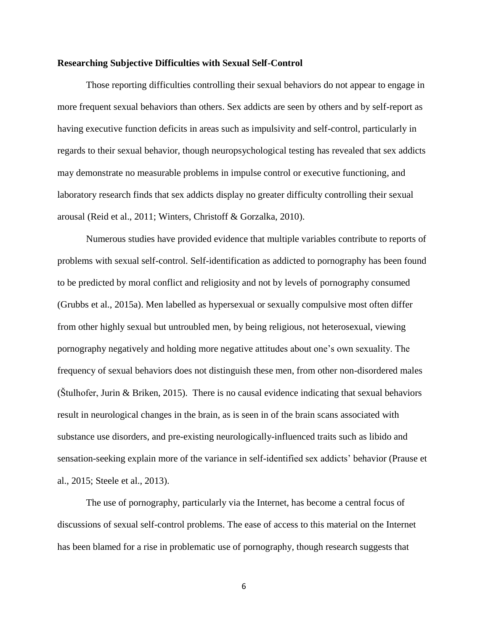# **Researching Subjective Difficulties with Sexual Self-Control**

Those reporting difficulties controlling their sexual behaviors do not appear to engage in more frequent sexual behaviors than others. Sex addicts are seen by others and by self-report as having executive function deficits in areas such as impulsivity and self-control, particularly in regards to their sexual behavior, though neuropsychological testing has revealed that sex addicts may demonstrate no measurable problems in impulse control or executive functioning, and laboratory research finds that sex addicts display no greater difficulty controlling their sexual arousal (Reid et al., 2011; Winters, Christoff & Gorzalka, 2010).

Numerous studies have provided evidence that multiple variables contribute to reports of problems with sexual self-control. Self-identification as addicted to pornography has been found to be predicted by moral conflict and religiosity and not by levels of pornography consumed (Grubbs et al., 2015a). Men labelled as hypersexual or sexually compulsive most often differ from other highly sexual but untroubled men, by being religious, not heterosexual, viewing pornography negatively and holding more negative attitudes about one's own sexuality. The frequency of sexual behaviors does not distinguish these men, from other non-disordered males (Štulhofer, Jurin & Briken, 2015). There i[s](http://www.ncbi.nlm.nih.gov/pubmed/?term=prause+porn) no causal evidence indicating that sexual behaviors result in neurological changes in the brain, as is seen in of the brain scans associated with substance use disorders, and pre-existing neurologically-influenced traits such as libido and sensation-seeking explain more of the variance in self-identified sex addicts' behavior (Prause et al., 2015; Steele et al., 2013).

The use of pornography, particularly via the Internet, has become a central focus of discussions of sexual self-control problems. The ease of access to this material on the Internet has been blamed for a rise in problematic use of pornography, though research suggests that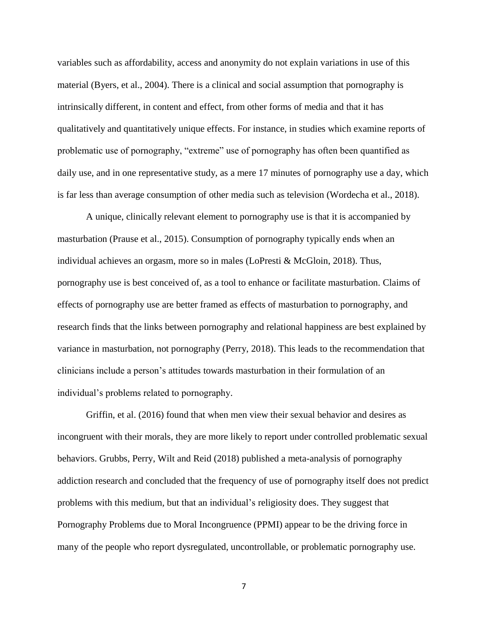variables such as affordability, access and anonymity do not explain variations in use of this material (Byers, et al., 2004). There is a clinical and social assumption that pornography is intrinsically different, in content and effect, from other forms of media and that it has qualitatively and quantitatively unique effects. For instance, in studies which examine reports of problematic use of pornography, "extreme" use of pornography has often been quantified as daily use, and in one representative study, as a mere 17 minutes of pornography use a day, which is far less than average consumption of other media such as television (Wordecha et al., 2018).

A unique, clinically relevant element to pornography use is that it is accompanied by masturbation (Prause et al., 2015). Consumption of pornography typically ends when an individual achieves an orgasm, more so in males (LoPresti  $\&$  McGloin, 2018). Thus, pornography use is best conceived of, as a tool to enhance or facilitate masturbation. Claims of effects of pornography use are better framed as effects of masturbation to pornography, and research finds that the links between pornography and relational happiness are best explained by variance in masturbation, not pornography (Perry, 2018). This leads to the recommendation that clinicians include a person's attitudes towards masturbation in their formulation of an individual's problems related to pornography.

Griffin, et al. (2016) found that when men view their sexual behavior and desires as incongruent with their morals, they are more likely to report under controlled problematic sexual behaviors. Grubbs, Perry, Wilt and Reid (2018) published a meta-analysis of pornography addiction research and concluded that the frequency of use of pornography itself does not predict problems with this medium, but that an individual's religiosity does. They suggest that Pornography Problems due to Moral Incongruence (PPMI) appear to be the driving force in many of the people who report dysregulated, uncontrollable, or problematic pornography use.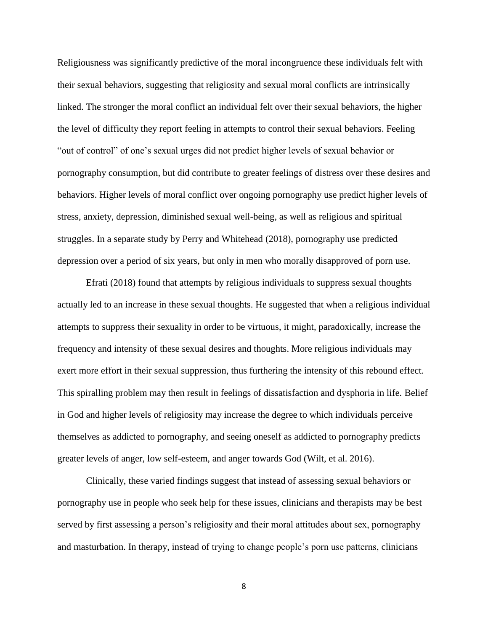Religiousness was significantly predictive of the moral incongruence these individuals felt with their sexual behaviors, suggesting that religiosity and sexual moral conflicts are intrinsically linked. The stronger the moral conflict an individual felt over their sexual behaviors, the higher the level of difficulty they report feeling in attempts to control their sexual behaviors. Feeling "out of control" of one's sexual urges did not predict higher levels of sexual behavior or pornography consumption, but did contribute to greater feelings of distress over these desires and behaviors. Higher levels of moral conflict over ongoing pornography use predict higher levels of stress, anxiety, depression, diminished sexual well-being, as well as religious and spiritual struggles. In a separate study by Perry and Whitehead (2018), pornography use predicted depression over a period of six years, but only in men who morally disapproved of porn use.

Efrati (2018) found that attempts by religious individuals to suppress sexual thoughts actually led to an increase in these sexual thoughts. He suggested that when a religious individual attempts to suppress their sexuality in order to be virtuous, it might, paradoxically, increase the frequency and intensity of these sexual desires and thoughts. More religious individuals may exert more effort in their sexual suppression, thus furthering the intensity of this rebound effect. This spiralling problem may then result in feelings of dissatisfaction and dysphoria in life. Belief in God and higher levels of religiosity may increase the degree to which individuals perceive themselves as addicted to pornography, and seeing oneself as addicted to pornography predicts greater levels of anger, low self-esteem, and anger towards God (Wilt, et al. 2016).

Clinically, these varied findings suggest that instead of assessing sexual behaviors or pornography use in people who seek help for these issues, clinicians and therapists may be best served by first assessing a person's religiosity and their moral attitudes about sex, pornography and masturbation. In therapy, instead of trying to change people's porn use patterns, clinicians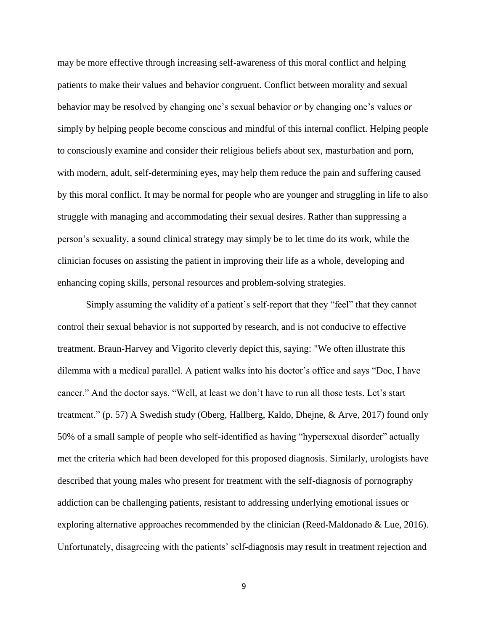may be more effective through increasing self-awareness of this moral conflict and helping patients to make their values and behavior congruent. Conflict between morality and sexual behavior may be resolved by changing one's sexual behavior *or* by changing one's values *or* simply by helping people become conscious and mindful of this internal conflict. Helping people to consciously examine and consider their religious beliefs about sex, masturbation and porn, with modern, adult, self-determining eyes, may help them reduce the pain and suffering caused by this moral conflict. It may be normal for people who are younger and struggling in life to also struggle with managing and accommodating their sexual desires. Rather than suppressing a person's sexuality, a sound clinical strategy may simply be to let time do its work, while the clinician focuses on assisting the patient in improving their life as a whole, developing and enhancing coping skills, personal resources and problem-solving strategies.

Simply assuming the validity of a patient's self-report that they "feel" that they cannot control their sexual behavior is not supported by research, and is not conducive to effective treatment. Braun-Harvey and Vigorito cleverly depict this, saying: "We often illustrate this dilemma with a medical parallel. A patient walks into his doctor's office and says "Doc, I have cancer." And the doctor says, "Well, at least we don't have to run all those tests. Let's start treatment." (p. 57) A Swedish study (Oberg, Hallberg, Kaldo, Dhejne, & Arve, 2017) found only 50% of a small sample of people who self-identified as having "hypersexual disorder" actually met the criteria which had been developed for this proposed diagnosis. Similarly, urologists have described that young males who present for treatment with the self-diagnosis of pornography addiction can be challenging patients, resistant to addressing underlying emotional issues or exploring alternative approaches recommended by the clinician (Reed-Maldonado & Lue, 2016). Unfortunately, disagreeing with the patients' self-diagnosis may result in treatment rejection and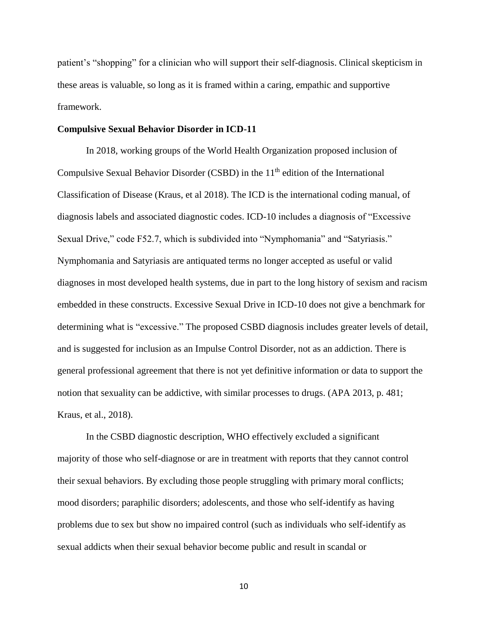patient's "shopping" for a clinician who will support their self-diagnosis. Clinical skepticism in these areas is valuable, so long as it is framed within a caring, empathic and supportive framework.

# **Compulsive Sexual Behavior Disorder in ICD-11**

In 2018, working groups of the World Health Organization proposed inclusion of Compulsive Sexual Behavior Disorder (CSBD) in the  $11<sup>th</sup>$  edition of the International Classification of Disease (Kraus, et al 2018). The ICD is the international coding manual, of diagnosis labels and associated diagnostic codes. ICD-10 includes a diagnosis of "Excessive Sexual Drive," code F52.7, which is subdivided into "Nymphomania" and "Satyriasis." Nymphomania and Satyriasis are antiquated terms no longer accepted as useful or valid diagnoses in most developed health systems, due in part to the long history of sexism and racism embedded in these constructs. Excessive Sexual Drive in ICD-10 does not give a benchmark for determining what is "excessive." The proposed CSBD diagnosis includes greater levels of detail, and is suggested for inclusion as an Impulse Control Disorder, not as an addiction. There is general professional agreement that there is not yet definitive information or data to support the notion that sexuality can be addictive, with similar processes to drugs. (APA 2013, p. 481; Kraus, et al., 2018).

In the CSBD diagnostic description, WHO effectively excluded a significant majority of those who self-diagnose or are in treatment with reports that they cannot control their sexual behaviors. By excluding those people struggling with primary moral conflicts; mood disorders; paraphilic disorders; adolescents, and those who self-identify as having problems due to sex but show no impaired control (such as individuals who self-identify as sexual addicts when their sexual behavior become public and result in scandal or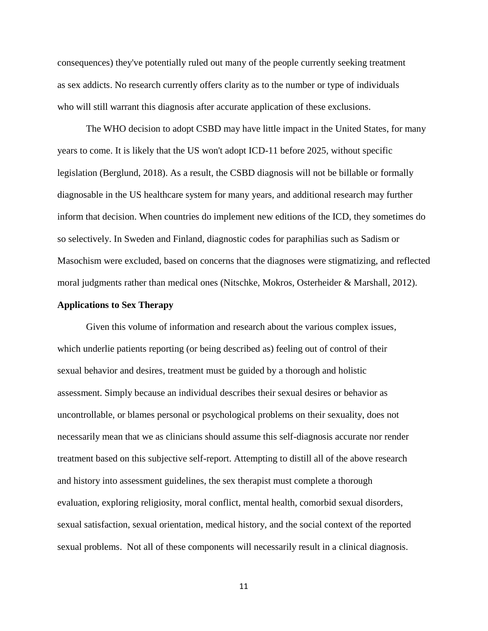consequences) they've potentially ruled out many of the people currently seeking treatment as sex addicts. No research currently offers clarity as to the number or type of individuals who will still warrant this diagnosis after accurate application of these exclusions.

The WHO decision to adopt CSBD may have little impact in the United States, for many years to come. It is likely that the US won't adopt ICD-11 before 2025, without specific legislation (Berglund, 2018). As a result, the CSBD diagnosis will not be billable or formally diagnosable in the US healthcare system for many years, and additional research may further inform that decision. When countries do implement new editions of the ICD, they sometimes do so selectively. In Sweden and Finland, diagnostic codes for paraphilias such as Sadism or Masochism were excluded, based on concerns that the diagnoses were stigmatizing, and reflected moral judgments rather than medical ones (Nitschke, Mokros, Osterheider & Marshall, 2012).

## **Applications to Sex Therapy**

Given this volume of information and research about the various complex issues, which underlie patients reporting (or being described as) feeling out of control of their sexual behavior and desires, treatment must be guided by a thorough and holistic assessment. Simply because an individual describes their sexual desires or behavior as uncontrollable, or blames personal or psychological problems on their sexuality, does not necessarily mean that we as clinicians should assume this self-diagnosis accurate nor render treatment based on this subjective self-report. Attempting to distill all of the above research and history into assessment guidelines, the sex therapist must complete a thorough evaluation, exploring religiosity, moral conflict, mental health, comorbid sexual disorders, sexual satisfaction, sexual orientation, medical history, and the social context of the reported sexual problems. Not all of these components will necessarily result in a clinical diagnosis.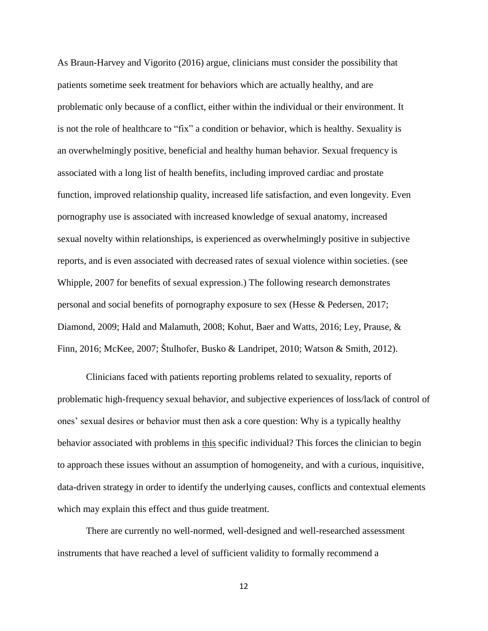As Braun-Harvey and Vigorito (2016) argue, clinicians must consider the possibility that patients sometime seek treatment for behaviors which are actually healthy, and are problematic only because of a conflict, either within the individual or their environment. It is not the role of healthcare to "fix" a condition or behavior, which is healthy. Sexuality is an overwhelmingly positive, beneficial and healthy human behavior. Sexual frequency is associated with a long list of health benefits, including improved cardiac and prostate function, improved relationship quality, increased life satisfaction, and even longevity. Even pornography use is associated with increased knowledge of sexual anatomy, increased sexual novelty within relationships, is experienced as overwhelmingly positive in subjective reports, and is even associated with decreased rates of sexual violence within societies. (see Whipple, 2007 for benefits of sexual expression.) The following research demonstrates personal and social benefits of pornography exposure to sex (Hesse & Pedersen, 2017; Diamond, 2009; Hald and Malamuth, 2008; Kohut, Baer and Watts, 2016; Ley, Prause, & Finn, 2016; McKee, 2007; Štulhofer, Busko & Landripet, 2010; Watson & Smith, 2012).

Clinicians faced with patients reporting problems related to sexuality, reports of problematic high-frequency sexual behavior, and subjective experiences of loss/lack of control of ones' sexual desires or behavior must then ask a core question: Why is a typically healthy behavior associated with problems in this specific individual? This forces the clinician to begin to approach these issues without an assumption of homogeneity, and with a curious, inquisitive, data-driven strategy in order to identify the underlying causes, conflicts and contextual elements which may explain this effect and thus guide treatment.

There are currently no well-normed, well-designed and well-researched assessment instruments that have reached a level of sufficient validity to formally recommend a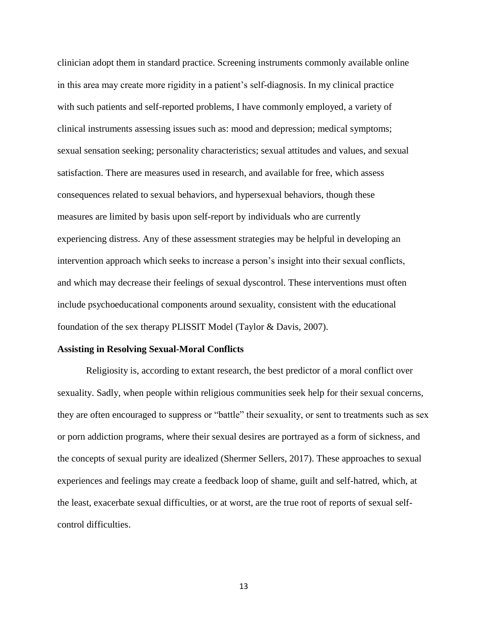clinician adopt them in standard practice. Screening instruments commonly available online in this area may create more rigidity in a patient's self-diagnosis. In my clinical practice with such patients and self-reported problems, I have commonly employed, a variety of clinical instruments assessing issues such as: mood and depression; medical symptoms; sexual sensation seeking; personality characteristics; sexual attitudes and values, and sexual satisfaction. There are measures used in research, and available for free, which assess consequences related to sexual behaviors, and hypersexual behaviors, though these measures are limited by basis upon self-report by individuals who are currently experiencing distress. Any of these assessment strategies may be helpful in developing an intervention approach which seeks to increase a person's insight into their sexual conflicts, and which may decrease their feelings of sexual dyscontrol. These interventions must often include psychoeducational components around sexuality, consistent with the educational foundation of the sex therapy PLISSIT Model (Taylor & Davis, 2007).

# **Assisting in Resolving Sexual-Moral Conflicts**

Religiosity is, according to extant research, the best predictor of a moral conflict over sexuality. Sadly, when people within religious communities seek help for their sexual concerns, they are often encouraged to suppress or "battle" their sexuality, or sent to treatments such as sex or porn addiction programs, where their sexual desires are portrayed as a form of sickness, and the concepts of sexual purity are idealized (Shermer Sellers, 2017). These approaches to sexual experiences and feelings may create a feedback loop of shame, guilt and self-hatred, which, at the least, exacerbate sexual difficulties, or at worst, are the true root of reports of sexual selfcontrol difficulties.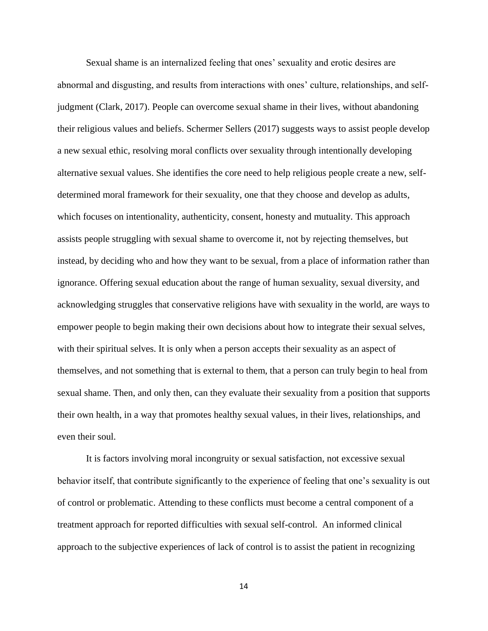Sexual shame is an internalized feeling that ones' sexuality and erotic desires are abnormal and disgusting, and results from interactions with ones' culture, relationships, and selfjudgment (Clark, 2017). People can overcome sexual shame in their lives, without abandoning their religious values and beliefs. Schermer Sellers (2017) suggests ways to assist people develop a new sexual ethic, resolving moral conflicts over sexuality through intentionally developing alternative sexual values. She identifies the core need to help religious people create a new, selfdetermined moral framework for their sexuality, one that they choose and develop as adults, which focuses on intentionality, authenticity, consent, honesty and mutuality. This approach assists people struggling with sexual shame to overcome it, not by rejecting themselves, but instead, by deciding who and how they want to be sexual, from a place of information rather than ignorance. Offering sexual education about the range of human sexuality, sexual diversity, and acknowledging struggles that conservative religions have with sexuality in the world, are ways to empower people to begin making their own decisions about how to integrate their sexual selves, with their spiritual selves. It is only when a person accepts their sexuality as an aspect of themselves, and not something that is external to them, that a person can truly begin to heal from sexual shame. Then, and only then, can they evaluate their sexuality from a position that supports their own health, in a way that promotes healthy sexual values, in their lives, relationships, and even their soul.

It is factors involving moral incongruity or sexual satisfaction, not excessive sexual behavior itself, that contribute significantly to the experience of feeling that one's sexuality is out of control or problematic. Attending to these conflicts must become a central component of a treatment approach for reported difficulties with sexual self-control. An informed clinical approach to the subjective experiences of lack of control is to assist the patient in recognizing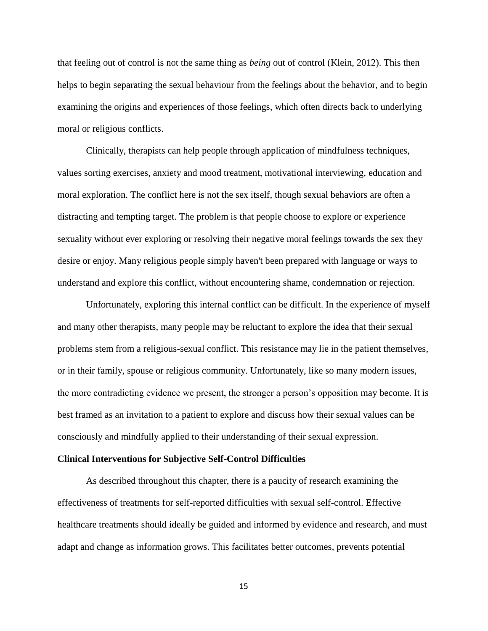that feeling out of control is not the same thing as *being* out of control (Klein, 2012). This then helps to begin separating the sexual behaviour from the feelings about the behavior, and to begin examining the origins and experiences of those feelings, which often directs back to underlying moral or religious conflicts.

Clinically, therapists can help people through application of mindfulness techniques, values sorting exercises, anxiety and mood treatment, motivational interviewing, [education](https://www.psychologytoday.com/us/basics/education) and moral exploration. The conflict here is not the sex itself, though sexual behaviors are often a distracting and tempting target. The problem is that people choose to explore or experience sexuality without ever exploring or resolving their negative moral feelings towards the sex they desire or enjoy. Many religious people simply haven't been prepared with language or ways to understand and explore this conflict, without encountering shame, condemnation or rejection.

Unfortunately, exploring this internal conflict can be difficult. In the experience of myself and many other therapists, many people may be reluctant to explore the idea that their sexual problems stem from a religious-sexual conflict. This resistance may lie in the patient themselves, or in their family, spouse or religious community. Unfortunately, like so many modern issues, the more contradicting evidence we present, the stronger a person's opposition may become. It is best framed as an invitation to a patient to explore and discuss how their sexual values can be consciously and mindfully applied to their understanding of their sexual expression.

#### **Clinical Interventions for Subjective Self-Control Difficulties**

As described throughout this chapter, there is a paucity of research examining the effectiveness of treatments for self-reported difficulties with sexual self-control. Effective healthcare treatments should ideally be guided and informed by evidence and research, and must adapt and change as information grows. This facilitates better outcomes, prevents potential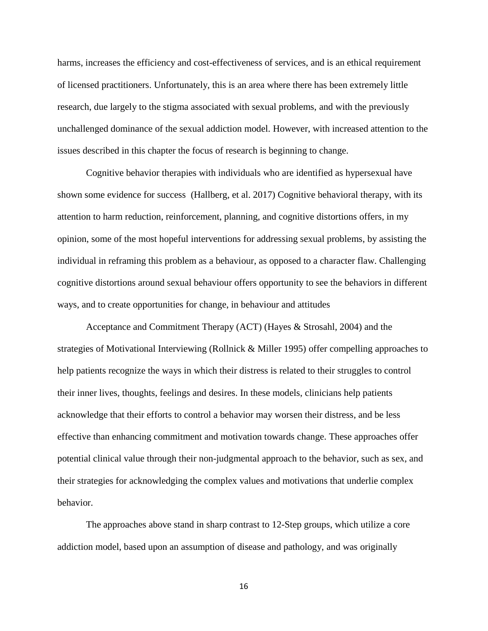harms, increases the efficiency and cost-effectiveness of services, and is an ethical requirement of licensed practitioners. Unfortunately, this is an area where there has been extremely little research, due largely to the stigma associated with sexual problems, and with the previously unchallenged dominance of the sexual addiction model. However, with increased attention to the issues described in this chapter the focus of research is beginning to change.

Cognitive behavior therapies with individuals who are identified as hypersexual have shown some evidence for success (Hallberg, et al. 2017) Cognitive behavioral therapy, with its attention to harm reduction, reinforcement, planning, and cognitive distortions offers, in my opinion, some of the most hopeful interventions for addressing sexual problems, by assisting the individual in reframing this problem as a behaviour, as opposed to a character flaw. Challenging cognitive distortions around sexual behaviour offers opportunity to see the behaviors in different ways, and to create opportunities for change, in behaviour and attitudes

Acceptance and Commitment Therapy (ACT) (Hayes & Strosahl, 2004) and the strategies of Motivational Interviewing (Rollnick & Miller 1995) offer compelling approaches to help patients recognize the ways in which their distress is related to their struggles to control their inner lives, thoughts, feelings and desires. In these models, clinicians help patients acknowledge that their efforts to control a behavior may worsen their distress, and be less effective than enhancing commitment and motivation towards change. These approaches offer potential clinical value through their non-judgmental approach to the behavior, such as sex, and their strategies for acknowledging the complex values and motivations that underlie complex behavior.

The approaches above stand in sharp contrast to 12-Step groups, which utilize a core addiction model, based upon an assumption of disease and pathology, and was originally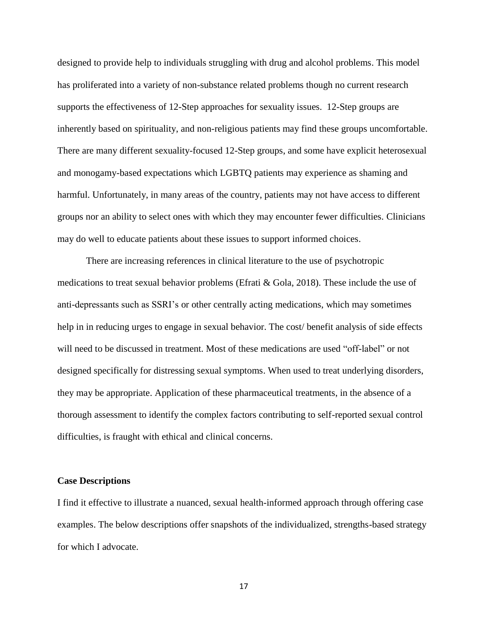designed to provide help to individuals struggling with drug and alcohol problems. This model has proliferated into a variety of non-substance related problems though no current research supports the effectiveness of 12-Step approaches for sexuality issues. 12-Step groups are inherently based on spirituality, and non-religious patients may find these groups uncomfortable. There are many different sexuality-focused 12-Step groups, and some have explicit heterosexual and monogamy-based expectations which LGBTQ patients may experience as shaming and harmful. Unfortunately, in many areas of the country, patients may not have access to different groups nor an ability to select ones with which they may encounter fewer difficulties. Clinicians may do well to educate patients about these issues to support informed choices.

There are increasing references in clinical literature to the use of psychotropic medications to treat sexual behavior problems (Efrati & Gola, 2018). These include the use of anti-depressants such as SSRI's or other centrally acting medications, which may sometimes help in in reducing urges to engage in sexual behavior. The cost/ benefit analysis of side effects will need to be discussed in treatment. Most of these medications are used "off-label" or not designed specifically for distressing sexual symptoms. When used to treat underlying disorders, they may be appropriate. Application of these pharmaceutical treatments, in the absence of a thorough assessment to identify the complex factors contributing to self-reported sexual control difficulties, is fraught with ethical and clinical concerns.

# **Case Descriptions**

I find it effective to illustrate a nuanced, sexual health-informed approach through offering case examples. The below descriptions offer snapshots of the individualized, strengths-based strategy for which I advocate.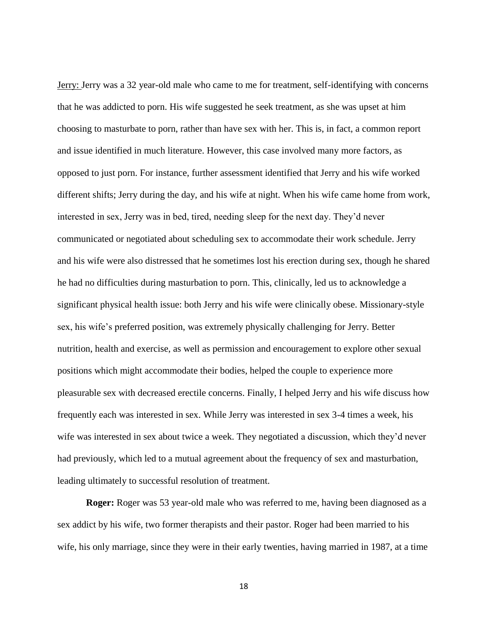Jerry: Jerry was a 32 year-old male who came to me for treatment, self-identifying with concerns that he was addicted to porn. His wife suggested he seek treatment, as she was upset at him choosing to masturbate to porn, rather than have sex with her. This is, in fact, a common report and issue identified in much literature. However, this case involved many more factors, as opposed to just porn. For instance, further assessment identified that Jerry and his wife worked different shifts; Jerry during the day, and his wife at night. When his wife came home from work, interested in sex, Jerry was in bed, tired, needing sleep for the next day. They'd never communicated or negotiated about scheduling sex to accommodate their work schedule. Jerry and his wife were also distressed that he sometimes lost his erection during sex, though he shared he had no difficulties during masturbation to porn. This, clinically, led us to acknowledge a significant physical health issue: both Jerry and his wife were clinically obese. Missionary-style sex, his wife's preferred position, was extremely physically challenging for Jerry. Better nutrition, health and exercise, as well as permission and encouragement to explore other sexual positions which might accommodate their bodies, helped the couple to experience more pleasurable sex with decreased erectile concerns. Finally, I helped Jerry and his wife discuss how frequently each was interested in sex. While Jerry was interested in sex 3-4 times a week, his wife was interested in sex about twice a week. They negotiated a discussion, which they'd never had previously, which led to a mutual agreement about the frequency of sex and masturbation, leading ultimately to successful resolution of treatment.

**Roger:** Roger was 53 year-old male who was referred to me, having been diagnosed as a sex addict by his wife, two former therapists and their pastor. Roger had been married to his wife, his only marriage, since they were in their early twenties, having married in 1987, at a time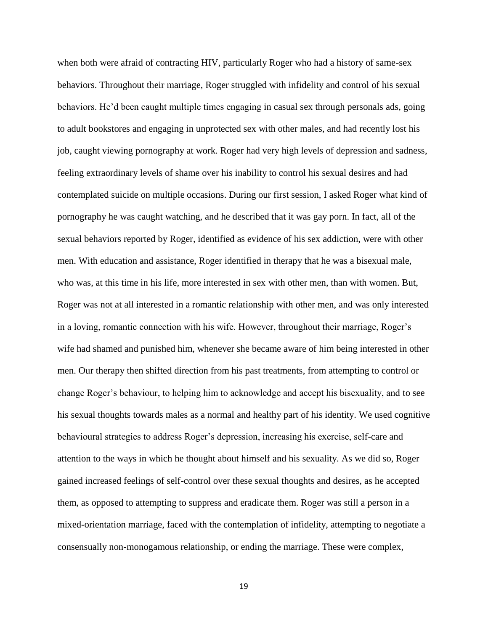when both were afraid of contracting HIV, particularly Roger who had a history of same-sex behaviors. Throughout their marriage, Roger struggled with infidelity and control of his sexual behaviors. He'd been caught multiple times engaging in casual sex through personals ads, going to adult bookstores and engaging in unprotected sex with other males, and had recently lost his job, caught viewing pornography at work. Roger had very high levels of depression and sadness, feeling extraordinary levels of shame over his inability to control his sexual desires and had contemplated suicide on multiple occasions. During our first session, I asked Roger what kind of pornography he was caught watching, and he described that it was gay porn. In fact, all of the sexual behaviors reported by Roger, identified as evidence of his sex addiction, were with other men. With education and assistance, Roger identified in therapy that he was a bisexual male, who was, at this time in his life, more interested in sex with other men, than with women. But, Roger was not at all interested in a romantic relationship with other men, and was only interested in a loving, romantic connection with his wife. However, throughout their marriage, Roger's wife had shamed and punished him, whenever she became aware of him being interested in other men. Our therapy then shifted direction from his past treatments, from attempting to control or change Roger's behaviour, to helping him to acknowledge and accept his bisexuality, and to see his sexual thoughts towards males as a normal and healthy part of his identity. We used cognitive behavioural strategies to address Roger's depression, increasing his exercise, self-care and attention to the ways in which he thought about himself and his sexuality. As we did so, Roger gained increased feelings of self-control over these sexual thoughts and desires, as he accepted them, as opposed to attempting to suppress and eradicate them. Roger was still a person in a mixed-orientation marriage, faced with the contemplation of infidelity, attempting to negotiate a consensually non-monogamous relationship, or ending the marriage. These were complex,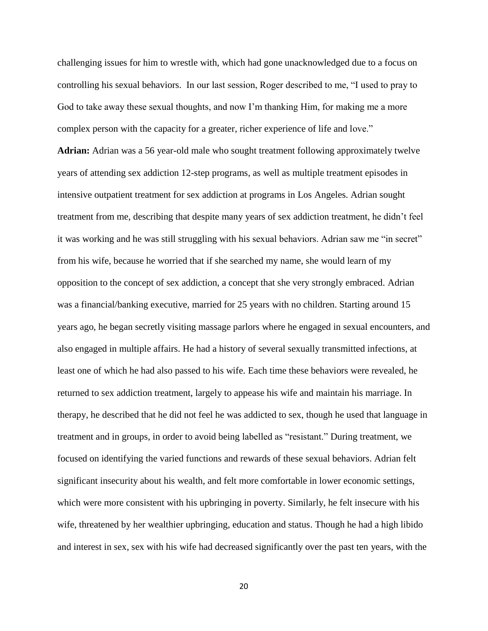challenging issues for him to wrestle with, which had gone unacknowledged due to a focus on controlling his sexual behaviors. In our last session, Roger described to me, "I used to pray to God to take away these sexual thoughts, and now I'm thanking Him, for making me a more complex person with the capacity for a greater, richer experience of life and love." **Adrian:** Adrian was a 56 year-old male who sought treatment following approximately twelve years of attending sex addiction 12-step programs, as well as multiple treatment episodes in intensive outpatient treatment for sex addiction at programs in Los Angeles. Adrian sought treatment from me, describing that despite many years of sex addiction treatment, he didn't feel it was working and he was still struggling with his sexual behaviors. Adrian saw me "in secret" from his wife, because he worried that if she searched my name, she would learn of my opposition to the concept of sex addiction, a concept that she very strongly embraced. Adrian was a financial/banking executive, married for 25 years with no children. Starting around 15 years ago, he began secretly visiting massage parlors where he engaged in sexual encounters, and also engaged in multiple affairs. He had a history of several sexually transmitted infections, at least one of which he had also passed to his wife. Each time these behaviors were revealed, he returned to sex addiction treatment, largely to appease his wife and maintain his marriage. In therapy, he described that he did not feel he was addicted to sex, though he used that language in treatment and in groups, in order to avoid being labelled as "resistant." During treatment, we focused on identifying the varied functions and rewards of these sexual behaviors. Adrian felt significant insecurity about his wealth, and felt more comfortable in lower economic settings, which were more consistent with his upbringing in poverty. Similarly, he felt insecure with his wife, threatened by her wealthier upbringing, education and status. Though he had a high libido and interest in sex, sex with his wife had decreased significantly over the past ten years, with the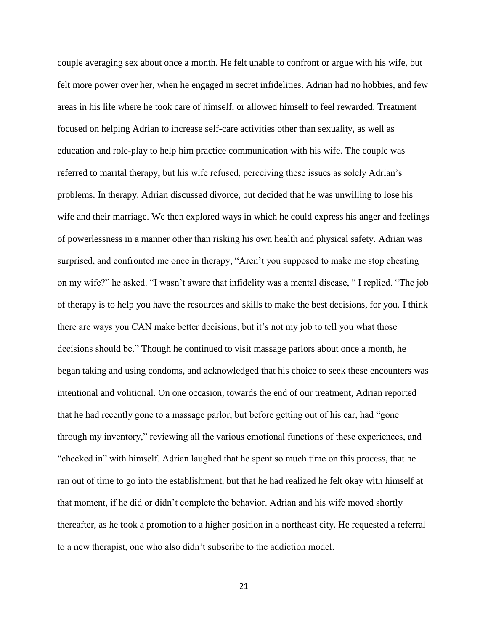couple averaging sex about once a month. He felt unable to confront or argue with his wife, but felt more power over her, when he engaged in secret infidelities. Adrian had no hobbies, and few areas in his life where he took care of himself, or allowed himself to feel rewarded. Treatment focused on helping Adrian to increase self-care activities other than sexuality, as well as education and role-play to help him practice communication with his wife. The couple was referred to marital therapy, but his wife refused, perceiving these issues as solely Adrian's problems. In therapy, Adrian discussed divorce, but decided that he was unwilling to lose his wife and their marriage. We then explored ways in which he could express his anger and feelings of powerlessness in a manner other than risking his own health and physical safety. Adrian was surprised, and confronted me once in therapy, "Aren't you supposed to make me stop cheating on my wife?" he asked. "I wasn't aware that infidelity was a mental disease, " I replied. "The job of therapy is to help you have the resources and skills to make the best decisions, for you. I think there are ways you CAN make better decisions, but it's not my job to tell you what those decisions should be." Though he continued to visit massage parlors about once a month, he began taking and using condoms, and acknowledged that his choice to seek these encounters was intentional and volitional. On one occasion, towards the end of our treatment, Adrian reported that he had recently gone to a massage parlor, but before getting out of his car, had "gone through my inventory," reviewing all the various emotional functions of these experiences, and "checked in" with himself. Adrian laughed that he spent so much time on this process, that he ran out of time to go into the establishment, but that he had realized he felt okay with himself at that moment, if he did or didn't complete the behavior. Adrian and his wife moved shortly thereafter, as he took a promotion to a higher position in a northeast city. He requested a referral to a new therapist, one who also didn't subscribe to the addiction model.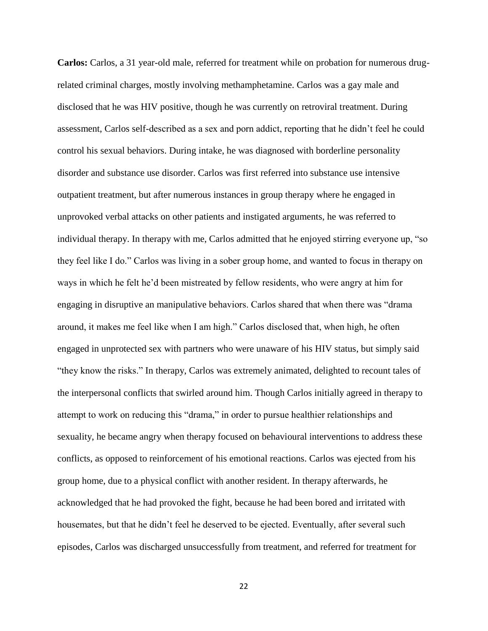**Carlos:** Carlos, a 31 year-old male, referred for treatment while on probation for numerous drugrelated criminal charges, mostly involving methamphetamine. Carlos was a gay male and disclosed that he was HIV positive, though he was currently on retroviral treatment. During assessment, Carlos self-described as a sex and porn addict, reporting that he didn't feel he could control his sexual behaviors. During intake, he was diagnosed with borderline personality disorder and substance use disorder. Carlos was first referred into substance use intensive outpatient treatment, but after numerous instances in group therapy where he engaged in unprovoked verbal attacks on other patients and instigated arguments, he was referred to individual therapy. In therapy with me, Carlos admitted that he enjoyed stirring everyone up, "so they feel like I do." Carlos was living in a sober group home, and wanted to focus in therapy on ways in which he felt he'd been mistreated by fellow residents, who were angry at him for engaging in disruptive an manipulative behaviors. Carlos shared that when there was "drama around, it makes me feel like when I am high." Carlos disclosed that, when high, he often engaged in unprotected sex with partners who were unaware of his HIV status, but simply said "they know the risks." In therapy, Carlos was extremely animated, delighted to recount tales of the interpersonal conflicts that swirled around him. Though Carlos initially agreed in therapy to attempt to work on reducing this "drama," in order to pursue healthier relationships and sexuality, he became angry when therapy focused on behavioural interventions to address these conflicts, as opposed to reinforcement of his emotional reactions. Carlos was ejected from his group home, due to a physical conflict with another resident. In therapy afterwards, he acknowledged that he had provoked the fight, because he had been bored and irritated with housemates, but that he didn't feel he deserved to be ejected. Eventually, after several such episodes, Carlos was discharged unsuccessfully from treatment, and referred for treatment for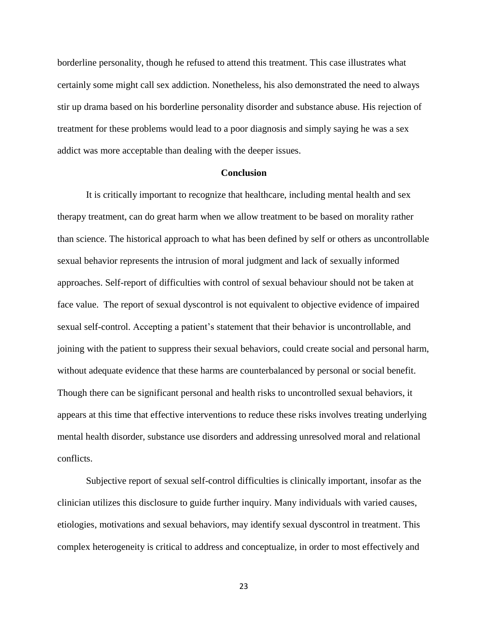borderline personality, though he refused to attend this treatment. This case illustrates what certainly some might call sex addiction. Nonetheless, his also demonstrated the need to always stir up drama based on his borderline personality disorder and substance abuse. His rejection of treatment for these problems would lead to a poor diagnosis and simply saying he was a sex addict was more acceptable than dealing with the deeper issues.

#### **Conclusion**

It is critically important to recognize that healthcare, including mental health and sex therapy treatment, can do great harm when we allow treatment to be based on morality rather than science. The historical approach to what has been defined by self or others as uncontrollable sexual behavior represents the intrusion of moral judgment and lack of sexually informed approaches. Self-report of difficulties with control of sexual behaviour should not be taken at face value. The report of sexual dyscontrol is not equivalent to objective evidence of impaired sexual self-control. Accepting a patient's statement that their behavior is uncontrollable, and joining with the patient to suppress their sexual behaviors, could create social and personal harm, without adequate evidence that these harms are counterbalanced by personal or social benefit. Though there can be significant personal and health risks to uncontrolled sexual behaviors, it appears at this time that effective interventions to reduce these risks involves treating underlying mental health disorder, substance use disorders and addressing unresolved moral and relational conflicts.

Subjective report of sexual self-control difficulties is clinically important, insofar as the clinician utilizes this disclosure to guide further inquiry. Many individuals with varied causes, etiologies, motivations and sexual behaviors, may identify sexual dyscontrol in treatment. This complex heterogeneity is critical to address and conceptualize, in order to most effectively and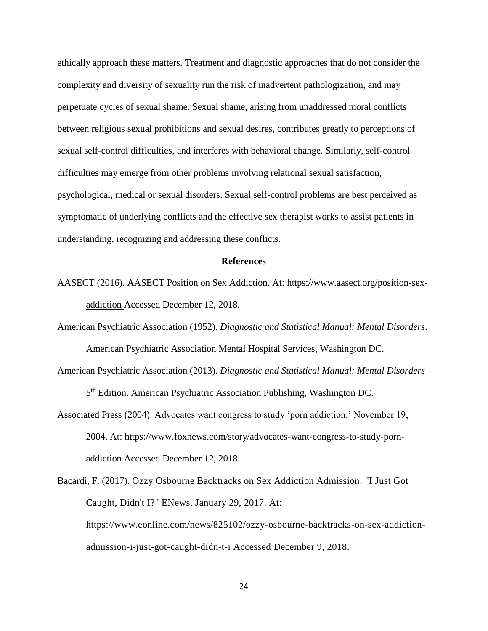ethically approach these matters. Treatment and diagnostic approaches that do not consider the complexity and diversity of sexuality run the risk of inadvertent pathologization, and may perpetuate cycles of sexual shame. Sexual shame, arising from unaddressed moral conflicts between religious sexual prohibitions and sexual desires, contributes greatly to perceptions of sexual self-control difficulties, and interferes with behavioral change. Similarly, self-control difficulties may emerge from other problems involving relational sexual satisfaction, psychological, medical or sexual disorders. Sexual self-control problems are best perceived as symptomatic of underlying conflicts and the effective sex therapist works to assist patients in understanding, recognizing and addressing these conflicts.

## **References**

- AASECT (2016). AASECT Position on Sex Addiction. At: [https://www.aasect.org/position-sex](https://www.aasect.org/position-sex-addiction)[addiction](https://www.aasect.org/position-sex-addiction) Accessed December 12, 2018.
- American Psychiatric Association (1952). *Diagnostic and Statistical Manual: Mental Disorders*. American Psychiatric Association Mental Hospital Services, Washington DC.
- American Psychiatric Association (2013). *Diagnostic and Statistical Manual: Mental Disorders* 5<sup>th</sup> Edition. American Psychiatric Association Publishing, Washington DC.
- Associated Press (2004). Advocates want congress to study 'porn addiction.' November 19, 2004. At: [https://www.foxnews.com/story/advocates-want-congress-to-study-porn](https://www.foxnews.com/story/advocates-want-congress-to-study-porn-addiction)[addiction](https://www.foxnews.com/story/advocates-want-congress-to-study-porn-addiction) Accessed December 12, 2018.

Bacardi, F. (2017). Ozzy Osbourne Backtracks on Sex Addiction Admission: "I Just Got Caught, Didn't I?" ENews, January 29, 2017. At: [https://www.eonline.com/news/825102/ozzy-osbourne-backtracks-on-sex-addiction](https://www.eonline.com/news/825102/ozzy-osbourne-backtracks-on-sex-addiction-admission-i-just-got-caught-didn-t-i)[admission-i-just-got-caught-didn-t-i](https://www.eonline.com/news/825102/ozzy-osbourne-backtracks-on-sex-addiction-admission-i-just-got-caught-didn-t-i) Accessed December 9, 2018.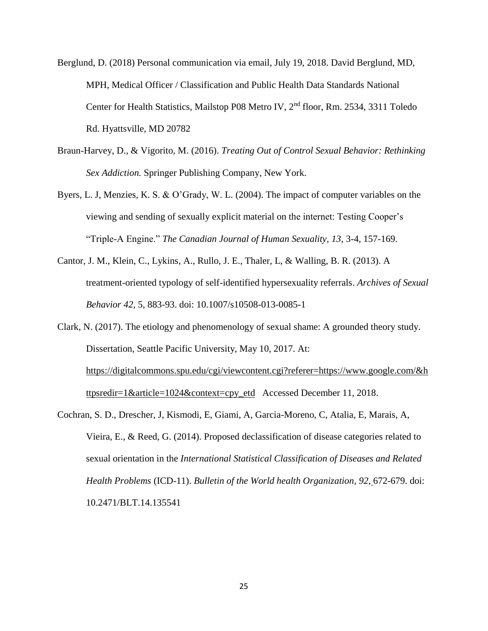- Berglund, D. (2018) Personal communication via email, July 19, 2018. David Berglund, MD, MPH, Medical Officer / Classification and Public Health Data Standards National Center for Health Statistics, Mailstop P08 Metro IV, 2<sup>nd</sup> floor, Rm. 2534, 3311 Toledo Rd. Hyattsville, MD 20782
- Braun-Harvey, D., & Vigorito, M. (2016). *Treating Out of Control Sexual Behavior: Rethinking Sex Addiction.* Springer Publishing Company, New York.
- Byers, L. J, Menzies, K. S. & O'Grady, W. L. (2004). The impact of computer variables on the viewing and sending of sexually explicit material on the internet: Testing Cooper's "Triple-A Engine." *The Canadian Journal of Human Sexuality, 13,* 3-4, 157-169.
- [Cantor,](http://www.ncbi.nlm.nih.gov/pubmed/?term=Cantor%20JM%5BAuthor%5D&cauthor=true&cauthor_uid=23455658) J. M., [Klein,](http://www.ncbi.nlm.nih.gov/pubmed/?term=Klein%20C%5BAuthor%5D&cauthor=true&cauthor_uid=23455658) C., [Lykins,](http://www.ncbi.nlm.nih.gov/pubmed/?term=Lykins%20A%5BAuthor%5D&cauthor=true&cauthor_uid=23455658) A., [Rullo,](http://www.ncbi.nlm.nih.gov/pubmed/?term=Rullo%20JE%5BAuthor%5D&cauthor=true&cauthor_uid=23455658) J. E., [Thaler,](http://www.ncbi.nlm.nih.gov/pubmed/?term=Thaler%20L%5BAuthor%5D&cauthor=true&cauthor_uid=23455658) L, & [Walling,](http://www.ncbi.nlm.nih.gov/pubmed/?term=Walling%20BR%5BAuthor%5D&cauthor=true&cauthor_uid=23455658) B. R. (2013). A treatment-oriented typology of self-identified hypersexuality referrals. *Archives of Sexual Behavior 42,* 5, 883-93. doi: 10.1007/s10508-013-0085-1

Clark, N. (2017). The etiology and phenomenology of sexual shame: A grounded theory study. Dissertation, Seattle Pacific University, May 10, 2017. At: [https://digitalcommons.spu.edu/cgi/viewcontent.cgi?referer=https://www.google.com/&h](https://digitalcommons.spu.edu/cgi/viewcontent.cgi?referer=https://www.google.com/&httpsredir=1&article=1024&context=cpy_etd) [ttpsredir=1&article=1024&context=cpy\\_etd](https://digitalcommons.spu.edu/cgi/viewcontent.cgi?referer=https://www.google.com/&httpsredir=1&article=1024&context=cpy_etd) Accessed December 11, 2018.

Cochran, S. D., Drescher, J, Kismodi, E, Giami, A, Garcia-Moreno, C, Atalia, E, Marais, A, Vieira, E., & Reed, G. (2014). Proposed declassification of disease categories related to sexual orientation in the *International Statistical Classification of Diseases and Related Health Problems* (ICD-11). *Bulletin of the World health Organization, 92,* 672-679. doi: 10.2471/BLT.14.135541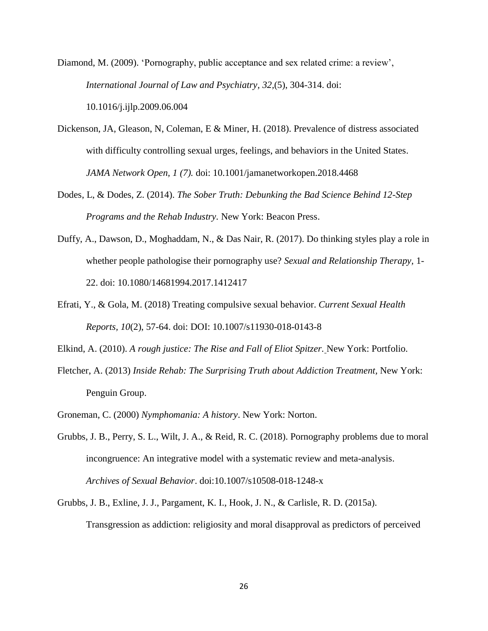Diamond, M. (2009). 'Pornography, public acceptance and sex related crime: a review', *International Journal of Law and Psychiatry, 32,*(5), 304-314. doi: 10.1016/j.ijlp.2009.06.004

- Dickenson, JA, Gleason, N, Coleman, E & Miner, H. (2018). Prevalence of distress associated with difficulty controlling sexual urges, feelings, and behaviors in the United States. *JAMA Network Open, 1 (7).* doi: [10.1001/jamanetworkopen.2018.4468](https://dx.doi.org/10.1001%2Fjamanetworkopen.2018.4468)
- Dodes, L, & Dodes, Z. (2014). *The Sober Truth: Debunking the Bad Science Behind 12-Step Programs and the Rehab Industry.* New York: Beacon Press.
- Duffy, A., Dawson, D., Moghaddam, N., & Das Nair, R. (2017). Do thinking styles play a role in whether people pathologise their pornography use? *Sexual and Relationship Therapy,* 1- 22. doi: 10.1080/14681994.2017.1412417
- Efrati, Y., & Gola, M. (2018) [Treating compulsive sexual behavior.](javascript:void(0)) *Current Sexual Health Reports, 10*(2), 57-64. doi: DOI: 10.1007/s11930-018-0143-8
- Elkind, A. (2010). *A rough justice: The Rise and Fall of Eliot Spitzer.* New York: Portfolio.
- Fletcher, A. (2013) *Inside Rehab: The Surprising Truth about Addiction Treatment,* New York: Penguin Group.
- Groneman, C. (2000) *Nymphomania: A history*. New York: Norton.
- Grubbs, J. B., Perry, S. L., Wilt, J. A., & Reid, R. C. (2018). Pornography problems due to moral incongruence: An integrative model with a systematic review and meta-analysis. *Archives of Sexual Behavior*. doi:10.1007/s10508-018-1248-x
- Grubbs, J. B., Exline, J. J., Pargament, K. I., Hook, J. N., & Carlisle, R. D. (2015a). [Transgression as addiction: religiosity and moral disapproval as predictors of perceived](http://scholar.google.com/citations?view_op=view_citation&hl=en&user=gCnmj3kAAAAJ&citation_for_view=gCnmj3kAAAAJ:Tyk-4Ss8FVUC)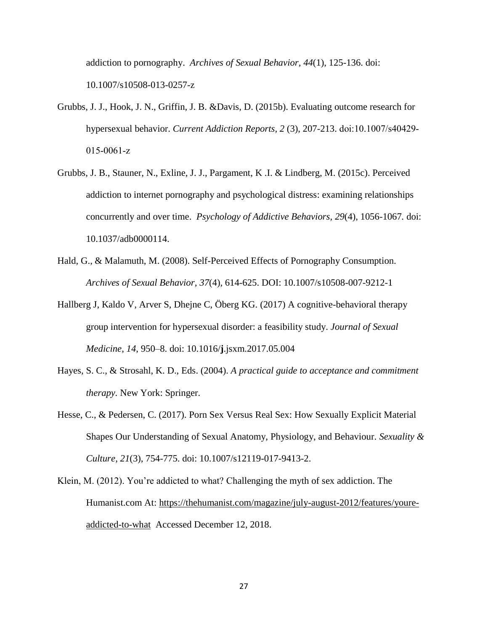[addiction to pornography.](http://scholar.google.com/citations?view_op=view_citation&hl=en&user=gCnmj3kAAAAJ&citation_for_view=gCnmj3kAAAAJ:Tyk-4Ss8FVUC) *Archives of Sexual Behavior, 44*(1), 125-136. doi: 10.1007/s10508-013-0257-z

- Grubbs, J. J., Hook, J. N., Griffin, J. B. &Davis, D. (2015b). Evaluating outcome research for hypersexual behavior. *[Current Addiction Reports,](http://link.springer.com/journal/40429) 2* (3), 207-213. doi:10.1007/s40429‐ 015‐0061‐z
- Grubbs, J. B., Stauner, N., Exline, J. J., Pargament, K .I. & Lindberg, M. (2015c). Perceived addiction to internet pornography and psychological distress: examining relationships concurrently and over time. *Psychology of Addictive Behaviors, 29*(4), 1056-1067*.* doi: 10.1037/adb0000114.
- Hald, G., & Malamuth, M. (2008). Self-Perceived Effects of Pornography Consumption. *Archives of Sexual Behavior, 37*(4), 614-625. DOI: [10.1007/s10508-007-9212-1](https://doi.org/10.1007/s10508-007-9212-1)
- Hallberg J, Kaldo V, Arver S, Dhejne C, Öberg KG. (2017) A cognitive-behavioral therapy group intervention for hypersexual disorder: a feasibility study. *Journal of Sexual Medicine*, *14*, 950–8. doi: 10.1016/**j**.jsxm.2017.05.004
- Hayes, S. C., & Strosahl, K. D., Eds. (2004). *A practical guide to acceptance and commitment therapy.* New York: Springer.
- Hesse, C., & Pedersen, C. (2017). Porn Sex Versus Real Sex: How Sexually Explicit Material Shapes Our Understanding of Sexual Anatomy, Physiology, and Behaviour. *Sexuality & Culture, 21*(3), 754-775. doi: 10.1007/s12119-017-9413-2.
- Klein, M. (2012). You're addicted to what? Challenging the myth of sex addiction. The Humanist.com At: [https://thehumanist.com/magazine/july-august-2012/features/youre](https://thehumanist.com/magazine/july-august-2012/features/youre-addicted-to-what)[addicted-to-what](https://thehumanist.com/magazine/july-august-2012/features/youre-addicted-to-what) Accessed December 12, 2018.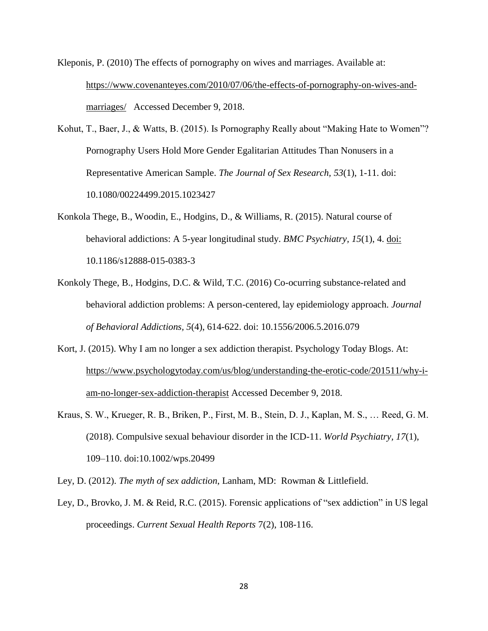Kleponis, P. (2010) The effects of pornography on wives and marriages. Available at: [https://www.covenanteyes.com/2010/07/06/the-effects-of-pornography-on-wives-and](https://www.covenanteyes.com/2010/07/06/the-effects-of-pornography-on-wives-and-marriages/)[marriages/](https://www.covenanteyes.com/2010/07/06/the-effects-of-pornography-on-wives-and-marriages/) Accessed December 9, 2018.

- Kohut, T., Baer, J., & Watts, B. (2015). Is Pornography Really about "Making Hate to Women"? Pornography Users Hold More Gender Egalitarian Attitudes Than Nonusers in a Representative American Sample. *The Journal of Sex Research, 53*(1), 1-11. doi: 10.1080/00224499.2015.1023427
- Konkola Thege, B., Woodin, E., Hodgins, D., & Williams, R. (2015). Natural course of behavioral addictions: A 5-year longitudinal study. *BMC Psychiatry, 15*(1), 4. doi: 10.1186/s12888-015-0383-3
- Konkoly Thege, B., Hodgins, D.C. & Wild, T.C. (2016) Co-ocurring substance-related and behavioral addiction problems: A person-centered, lay epidemiology approach. *Journal of Behavioral Addictions, 5*(4), 614-622. doi: 10.1556/2006.5.2016.079
- Kort, J. (2015). Why I am no longer a sex addiction therapist. Psychology Today Blogs. At: [https://www.psychologytoday.com/us/blog/understanding-the-erotic-code/201511/why-i](https://www.psychologytoday.com/us/blog/understanding-the-erotic-code/201511/why-i-am-no-longer-sex-addiction-therapist)[am-no-longer-sex-addiction-therapist](https://www.psychologytoday.com/us/blog/understanding-the-erotic-code/201511/why-i-am-no-longer-sex-addiction-therapist) Accessed December 9, 2018.
- Kraus, S. W., Krueger, R. B., Briken, P., First, M. B., Stein, D. J., Kaplan, M. S., … Reed, G. M. (2018). Compulsive sexual behaviour disorder in the ICD-11. *World Psychiatry, 17*(1), 109–110. doi:10.1002/wps.20499
- Ley, D. (2012). *The myth of sex addiction*, Lanham, MD: Rowman & Littlefield.
- Ley, D., Brovko, J. M. & Reid, R.C. (2015). Forensic applications of "sex addiction" in US legal proceedings. *Current Sexual Health Reports* 7(2), 108-116.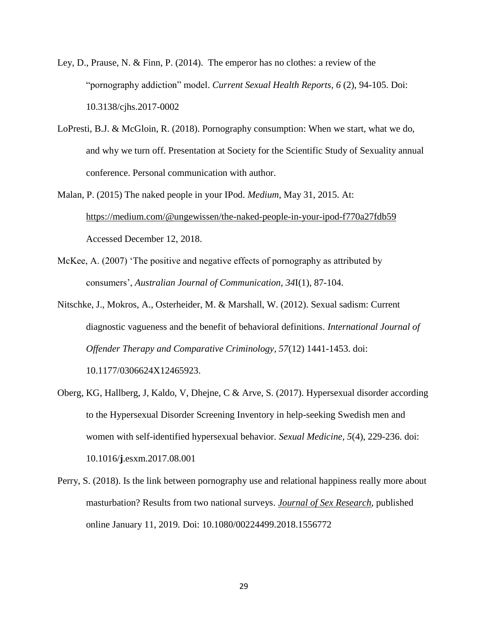- Ley, D., Prause, N. & Finn, P. (2014). The emperor has no clothes: a review of the "pornography addiction" model. *Current Sexual Health Reports, 6* (2), 94-105. Doi: 10.3138/cjhs.2017-0002
- LoPresti, B.J. & McGloin, R. (2018). Pornography consumption: When we start, what we do, and why we turn off. Presentation at Society for the Scientific Study of Sexuality annual conference. Personal communication with author.
- Malan, P. (2015) The naked people in your IPod. *Medium,* May 31, 2015. At: <https://medium.com/@ungewissen/the-naked-people-in-your-ipod-f770a27fdb59> Accessed December 12, 2018.
- McKee, A. (2007) 'The positive and negative effects of pornography as attributed by consumers', *Australian Journal of Communication*, *34*I(1), 87-104.
- Nitschke, J., Mokros, A., Osterheider, M. & Marshall, W. (2012). Sexual sadism: Current diagnostic vagueness and the benefit of behavioral definitions. *International Journal of Offender Therapy and Comparative Criminology, 57*(12) 1441-1453. doi: 10.1177/0306624X12465923.
- Oberg, KG, Hallberg, J, Kaldo, V, Dhejne, C & Arve, S. (2017). Hypersexual disorder according to the Hypersexual Disorder Screening Inventory in help-seeking Swedish men and women with self-identified hypersexual behavior. *Sexual Medicine, 5*(4), 229-236. doi: 10.1016/**j**.esxm.2017.08.001
- Perry, S. (2018). Is the link between pornography use and relational happiness really more about masturbation? Results from two national surveys. *Journal of Sex Research,* published online January 11, 2019*.* Doi: 10.1080/00224499.2018.1556772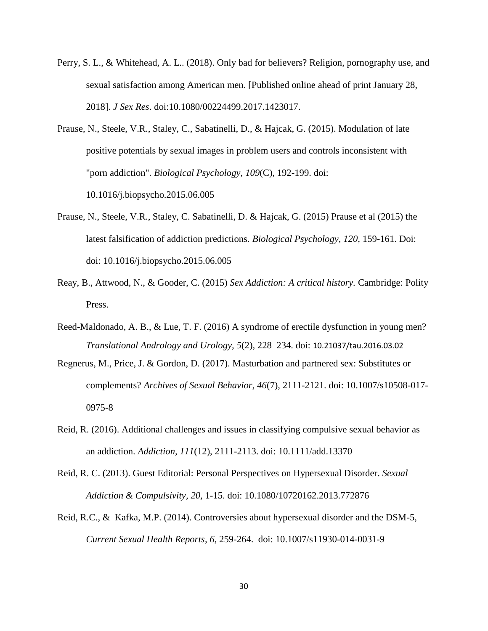- Perry, S. L., & Whitehead, A. L.. (2018). Only bad for believers? Religion, pornography use, and sexual satisfaction among American men. [Published online ahead of print January 28, 2018]. *J Sex Res*. doi:10.1080/00224499.2017.1423017.
- [Prause,](http://www.ncbi.nlm.nih.gov/pubmed/?term=Prause%20N%5BAuthor%5D&cauthor=true&cauthor_uid=26095441) N., [Steele,](http://www.ncbi.nlm.nih.gov/pubmed/?term=Steele%20VR%5BAuthor%5D&cauthor=true&cauthor_uid=26095441) V.R., [Staley,](http://www.ncbi.nlm.nih.gov/pubmed/?term=Staley%20C%5BAuthor%5D&cauthor=true&cauthor_uid=26095441) C., [Sabatinelli,](http://www.ncbi.nlm.nih.gov/pubmed/?term=Sabatinelli%20D%5BAuthor%5D&cauthor=true&cauthor_uid=26095441) D., & [Hajcak,](http://www.ncbi.nlm.nih.gov/pubmed/?term=Hajcak%20G%5BAuthor%5D&cauthor=true&cauthor_uid=26095441) G. (2015). Modulation of late positive potentials by sexual images in problem users and controls inconsistent with "porn addiction". *Biological Psychology, 109*(C), 192-199. doi: 10.1016/j.biopsycho.2015.06.005
- Prause, N., Steele, V.R., Staley, C. Sabatinelli, D. & Hajcak, G. (2015) Prause et al (2015) the latest falsification of addiction predictions. *Biological Psychology, 120,* 159-161. Doi: doi: 10.1016/j.biopsycho.2015.06.005
- Reay, B., Attwood, N., & Gooder, C. (2015) *Sex Addiction: A critical history.* Cambridge: Polity Press.
- Reed-Maldonado, A. B., & Lue, T. F. (2016) A syndrome of erectile dysfunction in young men? *Translational Andrology and Urology, 5*(2), 228–234. doi: 10.21037/tau.2016.03.02
- Regnerus, M., Price, J. & Gordon, D. (2017). Masturbation and partnered sex: Substitutes or complements? *Archives of Sexual Behavior, 46*(7), 2111-2121. doi: 10.1007/s10508-017- 0975-8
- Reid, R. (2016). Additional challenges and issues in classifying compulsive sexual behavior as an addiction. *Addiction, 111*(12), 2111-2113. doi: 10.1111/add.13370
- Reid, R. C. (2013). Guest Editorial: Personal Perspectives on Hypersexual Disorder. *Sexual Addiction & Compulsivity, 20,* 1-15. doi: 10.1080/10720162.2013.772876
- Reid, R.C., & Kafka, M.P. (2014). Controversies about hypersexual disorder and the DSM-5, *Current Sexual Health Reports, 6*, 259-264. doi: 10.1007/s11930-014-0031-9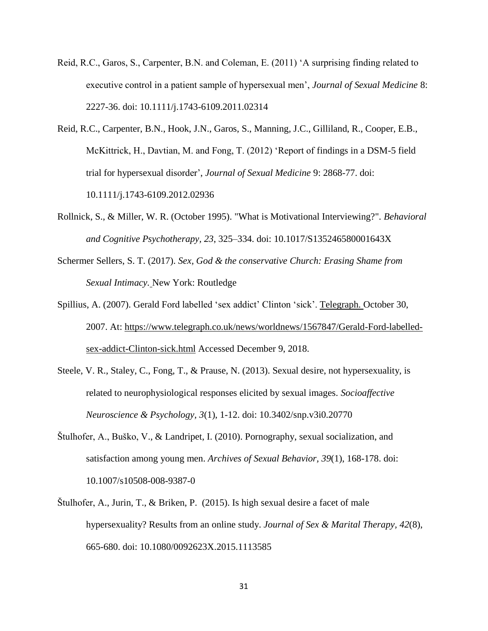- Reid, R.C., Garos, S., Carpenter, B.N. and Coleman, E. (2011) 'A surprising finding related to executive control in a patient sample of hypersexual men', *Journal of Sexual Medicine* 8: 2227-36. doi: 10.1111/j.1743-6109.2011.02314
- Reid, R.C., Carpenter, B.N., Hook, J.N., Garos, S., Manning, J.C., Gilliland, R., Cooper, E.B., McKittrick, H., Davtian, M. and Fong, T. (2012) 'Report of findings in a DSM-5 field trial for hypersexual disorder', *Journal of Sexual Medicine* 9: 2868-77. doi: 10.1111/j.1743-6109.2012.02936
- Rollnick, S., & Miller, W. R. (October 1995). ["What is Motivational Interviewing?"](https://doi.org/10.1017/S135246580001643X)*. Behavioral and Cognitive Psychotherapy, 23*, 325–334. doi: 10.1017/S135246580001643X
- Schermer Sellers, S. T. (2017). *Sex, God & the conservative Church: Erasing Shame from Sexual Intimacy.* New York: Routledge
- Spillius, A. (2007). Gerald Ford labelled 'sex addict' Clinton 'sick'. Telegraph. October 30, 2007. At: [https://www.telegraph.co.uk/news/worldnews/1567847/Gerald-Ford-labelled](https://www.telegraph.co.uk/news/worldnews/1567847/Gerald-Ford-labelled-sex-addict-Clinton-sick.html)[sex-addict-Clinton-sick.html](https://www.telegraph.co.uk/news/worldnews/1567847/Gerald-Ford-labelled-sex-addict-Clinton-sick.html) Accessed December 9, 2018.
- Steele, V. R., Staley, C., Fong, T., & Prause, N. (2013). Sexual desire, not hypersexuality, is related to neurophysiological responses elicited by sexual images. *Socioaffective Neuroscience & Psychology, 3*(1), 1-12. doi: 10.3402/snp.v3i0.20770
- Štulhofer, A., Buško, V., & Landripet, I. (2010). Pornography, sexual socialization, and satisfaction among young men. *Archives of Sexual Behavior, 39*(1), 168-178. doi: 10.1007/s10508-008-9387-0
- Štulhofer, A., Jurin, T., & Briken, P. (2015). Is high sexual desire a facet of male hypersexuality? Results from an online study. *Journal of Sex & Marital Therapy, 42*(8), 665-680. doi: 10.1080/0092623X.2015.1113585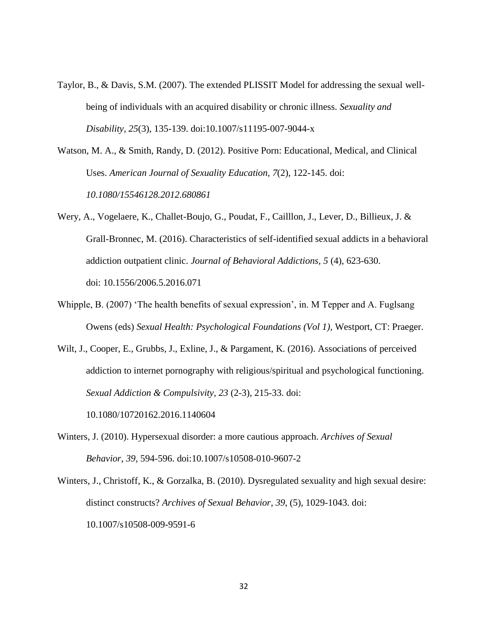- Taylor, B., & Davis, S.M. (2007). The extended PLISSIT Model for addressing the sexual wellbeing of individuals with an acquired disability or chronic illness. *Sexuality and Disability, 25*(3), 135-139. doi:10.1007/s11195-007-9044-x
- Watson, M. A., & Smith, Randy, D. (2012). Positive Porn: Educational, Medical, and Clinical Uses. *American Journal of Sexuality Education, 7*(2), 122-145. doi: *10.1080/15546128.2012.680861*
- Wery, A., Vogelaere, K., Challet-Boujo, G., Poudat, F., Cailllon, J., Lever, D., Billieux, J. & Grall-Bronnec, M. (2016). Characteristics of self-identified sexual addicts in a behavioral addiction outpatient clinic. *Journal of Behavioral Addictions, 5* (4), 623-630. doi: 10.1556/2006.5.2016.071
- Whipple, B. (2007) 'The health benefits of sexual expression', in. M Tepper and A. Fuglsang Owens (eds) *Sexual Health: Psychological Foundations (Vol 1),* Westport, CT: Praeger.
- Wilt, J., Cooper, E., Grubbs, J., Exline, J., & Pargament, K. (2016). Associations of perceived addiction to internet pornography with religious/spiritual and psychological functioning. *Sexual Addiction & Compulsivity, 23* (2-3), 215-33. doi:
- Winters, J. (2010). Hypersexual disorder: a more cautious approach. *Archives of Sexual Behavior*, *39,* 594-596. doi:10.1007/s10508-010-9607-2

10.1080/10720162.2016.1140604

Winters, J., Christoff, K., & Gorzalka, B. (2010). Dysregulated sexuality and high sexual desire: distinct constructs? *Archives of Sexual Behavior, 39*, (5), 1029-1043. doi: 10.1007/s10508-009-9591-6